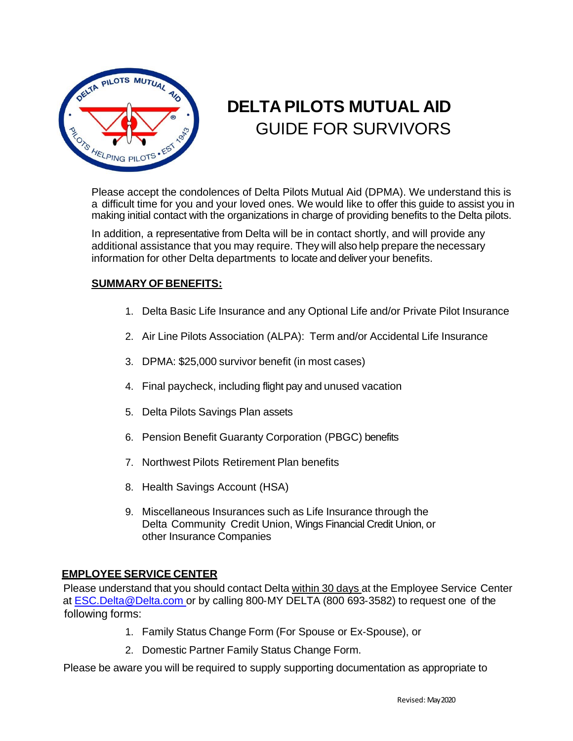

# **DELTA PILOTS MUTUAL AID** GUIDE FOR SURVIVORS

Please accept the condolences of Delta Pilots Mutual Aid (DPMA). We understand this is a difficult time for you and your loved ones. We would like to offer this guide to assist you in making initial contact with the organizations in charge of providing benefits to the Delta pilots.

In addition, a representative from Delta will be in contact shortly, and will provide any additional assistance that you may require. They will also help prepare the necessary information for other Delta departments to locate and deliver your benefits.

#### **SUMMARY OF BENEFITS:**

- 1. Delta Basic Life Insurance and any Optional Life and/or Private Pilot Insurance
- 2. Air Line Pilots Association (ALPA): Term and/or Accidental Life Insurance
- 3. DPMA: \$25,000 survivor benefit (in most cases)
- 4. Final paycheck, including flight pay and unused vacation
- 5. Delta Pilots Savings Plan assets
- 6. Pension Benefit Guaranty Corporation (PBGC) benefits
- 7. Northwest Pilots Retirement Plan benefits
- 8. Health Savings Account (HSA)
- 9. Miscellaneous Insurances such as Life Insurance through the Delta Community Credit Union, Wings Financial Credit Union, or other Insurance Companies

#### **EMPLOYEE SERVICE CENTER**

Please understand that you should contact Delta within 30 days at the Employee Service Center at [ESC.Delta@Delta.com](mailto:ESC.Delta@Delta.com) or by calling 800-MY DELTA (800 693-3582) to request one of the following forms:

- 1. Family Status Change Form (For Spouse or Ex‐Spouse), or
- 2. Domestic Partner Family Status Change Form.

Please be aware you will be required to supply supporting documentation as appropriate to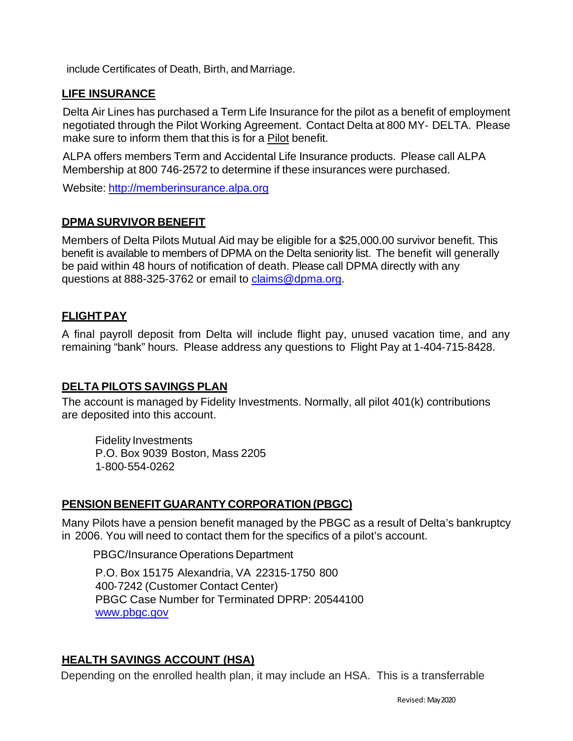include Certificates of Death, Birth, and Marriage.

## **LIFE INSURANCE**

Delta Air Lines has purchased a Term Life Insurance for the pilot as a benefit of employment negotiated through the Pilot Working Agreement. Contact Delta at 800 MY‐ DELTA. Please make sure to inform them that this is for a Pilot benefit.

ALPA offers members Term and Accidental Life Insurance products. Please call ALPA Membership at 800 746‐2572 to determine if these insurances were purchased.

Website: [http://memberinsurance.alpa.org](http://memberinsurance.alpa.org/) 

### **DPMA SURVIVOR BENEFIT**

Members of Delta Pilots Mutual Aid may be eligible for a \$25,000.00 survivor benefit. This benefit is available to members of DPMA on the Delta seniority list. The benefit will generally be paid within 48 hours of notification of death. Please call DPMA directly with any questions at 888-325‐3762 or email to [claims@dpma.org.](mailto:claims@dpma.org) 

## **FLIGHTPAY**

A final payroll deposit from Delta will include flight pay, unused vacation time, and any remaining "bank" hours. Please address any questions to Flight Pay at 1‐404‐715‐8428.

### **DELTA PILOTS SAVINGS PLAN**

The account is managed by Fidelity Investments. Normally, all pilot 401(k) contributions are deposited into this account.

Fidelity Investments P.O. Box 9039 Boston, Mass 2205 1‐800‐554‐0262

### **PENSION BENEFIT GUARANTY CORPORATION (PBGC)**

Many Pilots have a pension benefit managed by the PBGC as a result of Delta's bankruptcy in 2006. You will need to contact them for the specifics of a pilot's account.

PBGC/Insurance Operations Department

P.O. Box 15175 Alexandria, VA 22315‐1750 800 400‐7242 (Customer Contact Center) PBGC Case Number for Terminated DPRP: 20544100 [www.pbgc.gov](http://www.pbgc.gov/) 

## **HEALTH SAVINGS ACCOUNT (HSA)**

Depending on the enrolled health plan, it may include an HSA. This is a transferrable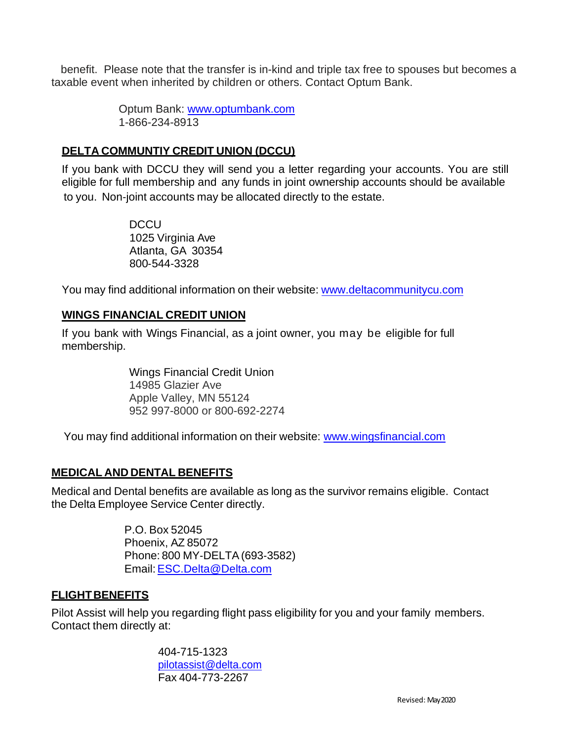benefit. Please note that the transfer is in-kind and triple tax free to spouses but becomes a taxable event when inherited by children or others. Contact Optum Bank.

> Optum Bank: [www.optumbank.com](http://www.optumbank.com/) 1-866-234-8913

## **DELTA COMMUNTIY CREDIT UNION (DCCU)**

If you bank with DCCU they will send you a letter regarding your accounts. You are still eligible for full membership and any funds in joint ownership accounts should be available to you. Non‐joint accounts may be allocated directly to the estate.

> DCCU 1025 Virginia Ave Atlanta, GA 30354 800‐544‐3328

You may find additional information on their website: [www.deltacommunitycu.com](http://www.deltacommunitycu.com/)

## **WINGS FINANCIAL CREDIT UNION**

If you bank with Wings Financial, as a joint owner, you may be eligible for full membership.

> Wings Financial Credit Union 14985 Glazier Ave Apple Valley, MN 55124 952 997-8000 or 800-692-2274

You may find additional information on their website: [www.wingsfinancial.com](http://www.wingsfinancial.com/)

## **MEDICAL AND DENTAL BENEFITS**

Medical and Dental benefits are available as long as the survivor remains eligible. Contact the Delta Employee Service Center directly.

> P.O. Box 52045 Phoenix, AZ 85072 Phone: 800 MY‐DELTA(693‐3582) Email[:ESC.Delta@Delta.com](mailto:ESC.Delta@Delta.com)

### **FLIGHTBENEFITS**

Pilot Assist will help you regarding flight pass eligibility for you and your family members. Contact them directly at:

> 404-715-1323 [pilotassist@delta.com](mailto:pilotassist@delta.com) Fax 404‐773‐2267